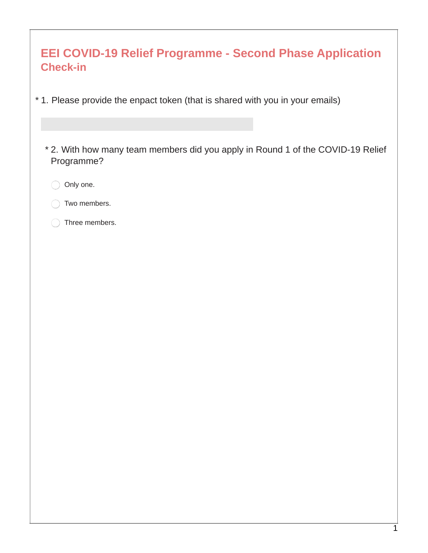| <b>EEI COVID-19 Relief Programme - Second Phase Application</b><br><b>Check-in</b>            |
|-----------------------------------------------------------------------------------------------|
| * 1. Please provide the enpact token (that is shared with you in your emails)                 |
| * 2. With how many team members did you apply in Round 1 of the COVID-19 Relief<br>Programme? |
| Only one.                                                                                     |
| Two members.                                                                                  |
| Three members.                                                                                |
|                                                                                               |
|                                                                                               |
|                                                                                               |
|                                                                                               |
|                                                                                               |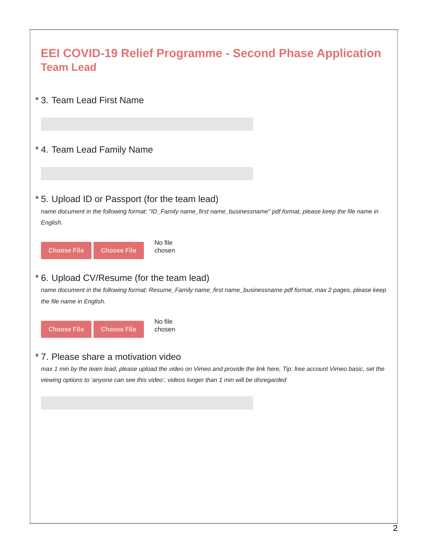| <b>EEI COVID-19 Relief Programme - Second Phase Application</b><br><b>Team Lead</b>                                                                                                                                                                                    |  |
|------------------------------------------------------------------------------------------------------------------------------------------------------------------------------------------------------------------------------------------------------------------------|--|
| * 3. Team Lead First Name                                                                                                                                                                                                                                              |  |
| * 4. Team Lead Family Name                                                                                                                                                                                                                                             |  |
| *5. Upload ID or Passport (for the team lead)<br>name document in the following format: "ID_Family name_first name_businessname" pdf format, please keep the file name in<br>English.                                                                                  |  |
| No file<br><b>Choose File</b><br><b>Choose File</b><br>chosen                                                                                                                                                                                                          |  |
| * 6. Upload CV/Resume (for the team lead)<br>name document in the following format: Resume_Family name_first name_businessname pdf format, max 2 pages, please keep<br>the file name in English.                                                                       |  |
| No file<br><b>Choose File</b><br><b>Choose File</b><br>chosen                                                                                                                                                                                                          |  |
| * 7. Please share a motivation video<br>max 1 min by the team lead, please upload the video on Vimeo and provide the link here, Tip: free account Vimeo basic, set the<br>viewing options to 'anyone can see this video', videos longer than 1 min will be disregarded |  |
|                                                                                                                                                                                                                                                                        |  |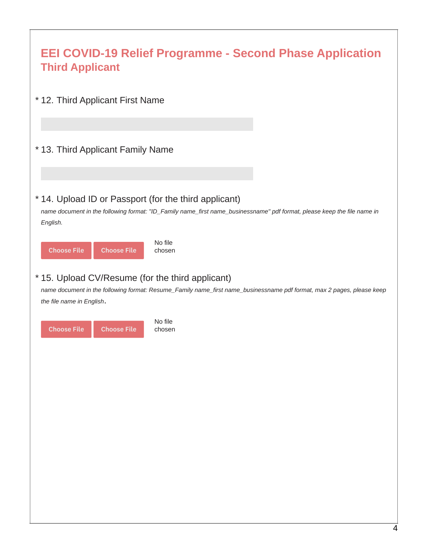| <b>EEI COVID-19 Relief Programme - Second Phase Application</b><br><b>Third Applicant</b>                                                                                                              |
|--------------------------------------------------------------------------------------------------------------------------------------------------------------------------------------------------------|
| * 12. Third Applicant First Name                                                                                                                                                                       |
| * 13. Third Applicant Family Name                                                                                                                                                                      |
| * 14. Upload ID or Passport (for the third applicant)<br>name document in the following format: "ID_Family name_first name_businessname" pdf format, please keep the file name in<br>English.          |
| No file<br><b>Choose File</b><br><b>Choose File</b><br>chosen                                                                                                                                          |
| *15. Upload CV/Resume (for the third applicant)<br>name document in the following format: Resume_Family name_first name_businessname pdf format, max 2 pages, please keep<br>the file name in English. |
| No file<br><b>Choose File</b><br><b>Choose File</b><br>chosen                                                                                                                                          |
|                                                                                                                                                                                                        |
|                                                                                                                                                                                                        |
|                                                                                                                                                                                                        |
|                                                                                                                                                                                                        |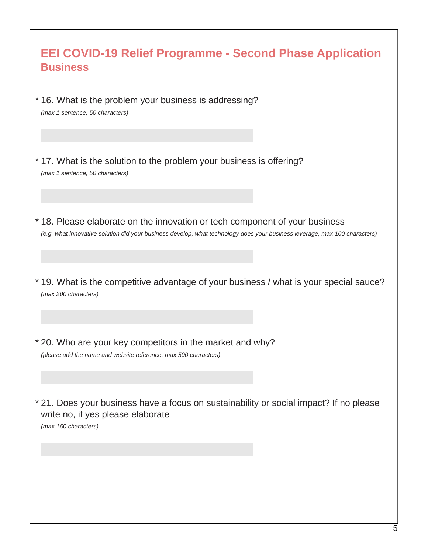| <b>EEI COVID-19 Relief Programme - Second Phase Application</b><br><b>Business</b>                                                                                                                       |
|----------------------------------------------------------------------------------------------------------------------------------------------------------------------------------------------------------|
| *16. What is the problem your business is addressing?<br>(max 1 sentence, 50 characters)                                                                                                                 |
|                                                                                                                                                                                                          |
| *17. What is the solution to the problem your business is offering?<br>(max 1 sentence, 50 characters)                                                                                                   |
|                                                                                                                                                                                                          |
| *18. Please elaborate on the innovation or tech component of your business<br>(e.g. what innovative solution did your business develop, what technology does your business leverage, max 100 characters) |
|                                                                                                                                                                                                          |
| *19. What is the competitive advantage of your business / what is your special sauce?<br>(max 200 characters)                                                                                            |
|                                                                                                                                                                                                          |
| * 20. Who are your key competitors in the market and why?<br>(please add the name and website reference, max 500 characters)                                                                             |
|                                                                                                                                                                                                          |
| * 21. Does your business have a focus on sustainability or social impact? If no please<br>write no, if yes please elaborate<br>(max 150 characters)                                                      |
|                                                                                                                                                                                                          |
|                                                                                                                                                                                                          |
|                                                                                                                                                                                                          |
|                                                                                                                                                                                                          |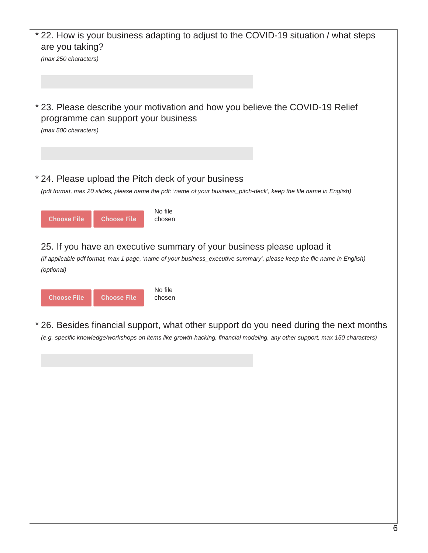| * 22. How is your business adapting to adjust to the COVID-19 situation / what steps<br>are you taking?                                                                                                               |  |
|-----------------------------------------------------------------------------------------------------------------------------------------------------------------------------------------------------------------------|--|
| (max 250 characters)                                                                                                                                                                                                  |  |
|                                                                                                                                                                                                                       |  |
| * 23. Please describe your motivation and how you believe the COVID-19 Relief<br>programme can support your business<br>(max 500 characters)                                                                          |  |
| * 24. Please upload the Pitch deck of your business                                                                                                                                                                   |  |
| (pdf format, max 20 slides, please name the pdf: 'name of your business_pitch-deck', keep the file name in English)                                                                                                   |  |
| No file<br><b>Choose File</b><br><b>Choose File</b><br>chosen                                                                                                                                                         |  |
| 25. If you have an executive summary of your business please upload it<br>(if applicable pdf format, max 1 page, 'name of your business_executive summary', please keep the file name in English)<br>(optional)       |  |
| No file<br><b>Choose File</b><br><b>Choose File</b><br>chosen                                                                                                                                                         |  |
| * 26. Besides financial support, what other support do you need during the next months<br>(e.g. specific knowledge/workshops on items like growth-hacking, financial modeling, any other support, max 150 characters) |  |
|                                                                                                                                                                                                                       |  |
|                                                                                                                                                                                                                       |  |
|                                                                                                                                                                                                                       |  |
|                                                                                                                                                                                                                       |  |
|                                                                                                                                                                                                                       |  |
|                                                                                                                                                                                                                       |  |
|                                                                                                                                                                                                                       |  |
|                                                                                                                                                                                                                       |  |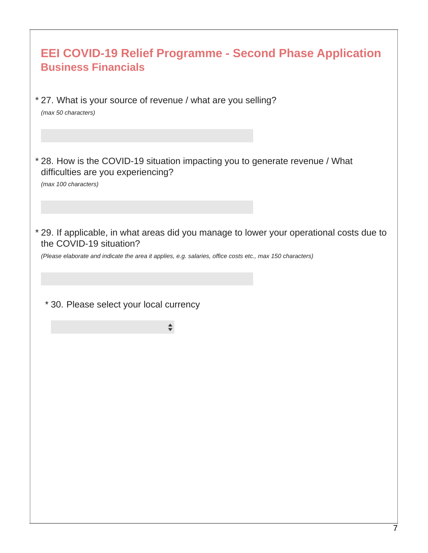| <b>EEI COVID-19 Relief Programme - Second Phase Application</b><br><b>Business Financials</b>                                                                                                                                    |
|----------------------------------------------------------------------------------------------------------------------------------------------------------------------------------------------------------------------------------|
| * 27. What is your source of revenue / what are you selling?<br>(max 50 characters)                                                                                                                                              |
| * 28. How is the COVID-19 situation impacting you to generate revenue / What<br>difficulties are you experiencing?<br>(max 100 characters)                                                                                       |
|                                                                                                                                                                                                                                  |
| * 29. If applicable, in what areas did you manage to lower your operational costs due to<br>the COVID-19 situation?<br>(Please elaborate and indicate the area it applies, e.g. salaries, office costs etc., max 150 characters) |
| * 30. Please select your local currency                                                                                                                                                                                          |
|                                                                                                                                                                                                                                  |
|                                                                                                                                                                                                                                  |
|                                                                                                                                                                                                                                  |
|                                                                                                                                                                                                                                  |
|                                                                                                                                                                                                                                  |
|                                                                                                                                                                                                                                  |
|                                                                                                                                                                                                                                  |
|                                                                                                                                                                                                                                  |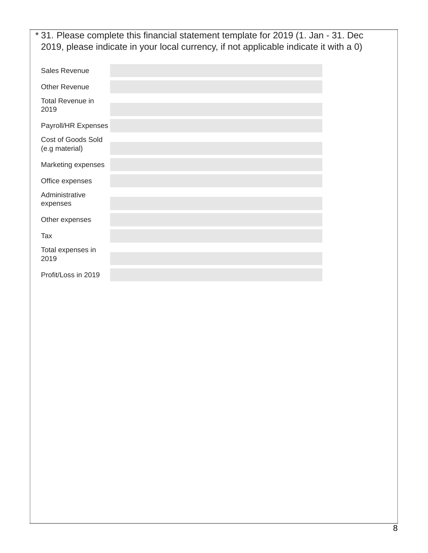|                                      | * 31. Please complete this financial statement template for 2019 (1. Jan - 31. Dec<br>2019, please indicate in your local currency, if not applicable indicate it with a 0) |  |
|--------------------------------------|-----------------------------------------------------------------------------------------------------------------------------------------------------------------------------|--|
| Sales Revenue                        |                                                                                                                                                                             |  |
| <b>Other Revenue</b>                 |                                                                                                                                                                             |  |
| <b>Total Revenue in</b><br>2019      |                                                                                                                                                                             |  |
| Payroll/HR Expenses                  |                                                                                                                                                                             |  |
| Cost of Goods Sold<br>(e.g material) |                                                                                                                                                                             |  |
| Marketing expenses                   |                                                                                                                                                                             |  |
| Office expenses                      |                                                                                                                                                                             |  |
| Administrative<br>expenses           |                                                                                                                                                                             |  |
| Other expenses                       |                                                                                                                                                                             |  |
| Tax                                  |                                                                                                                                                                             |  |
| Total expenses in<br>2019            |                                                                                                                                                                             |  |
| Profit/Loss in 2019                  |                                                                                                                                                                             |  |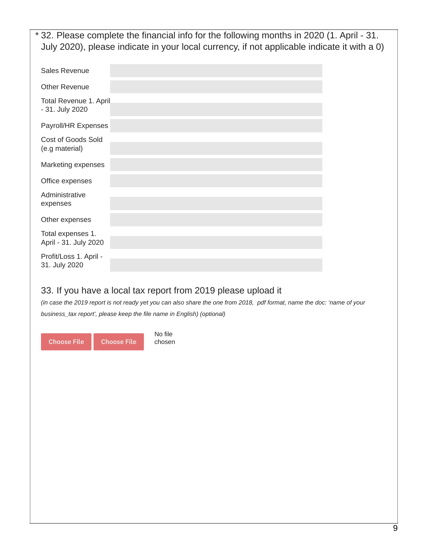32. Please complete the financial info for the following months in 2020 (1. April - 31. \* July 2020), please indicate in your local currency, if not applicable indicate it with a 0)

| <b>Sales Revenue</b>                       |  |
|--------------------------------------------|--|
| <b>Other Revenue</b>                       |  |
| Total Revenue 1. April<br>- 31. July 2020  |  |
| Payroll/HR Expenses                        |  |
| Cost of Goods Sold<br>(e.g material)       |  |
| Marketing expenses                         |  |
| Office expenses                            |  |
| Administrative<br>expenses                 |  |
| Other expenses                             |  |
| Total expenses 1.<br>April - 31. July 2020 |  |
| Profit/Loss 1. April -<br>31. July 2020    |  |

## 33. If you have a local tax report from 2019 please upload it

No file chosen

(in case the 2019 report is not ready yet you can also share the one from 2018, pdf format, name the doc: 'name of your *business\_tax report', please keep the file name in English) (optional)*

Choose File Choose File